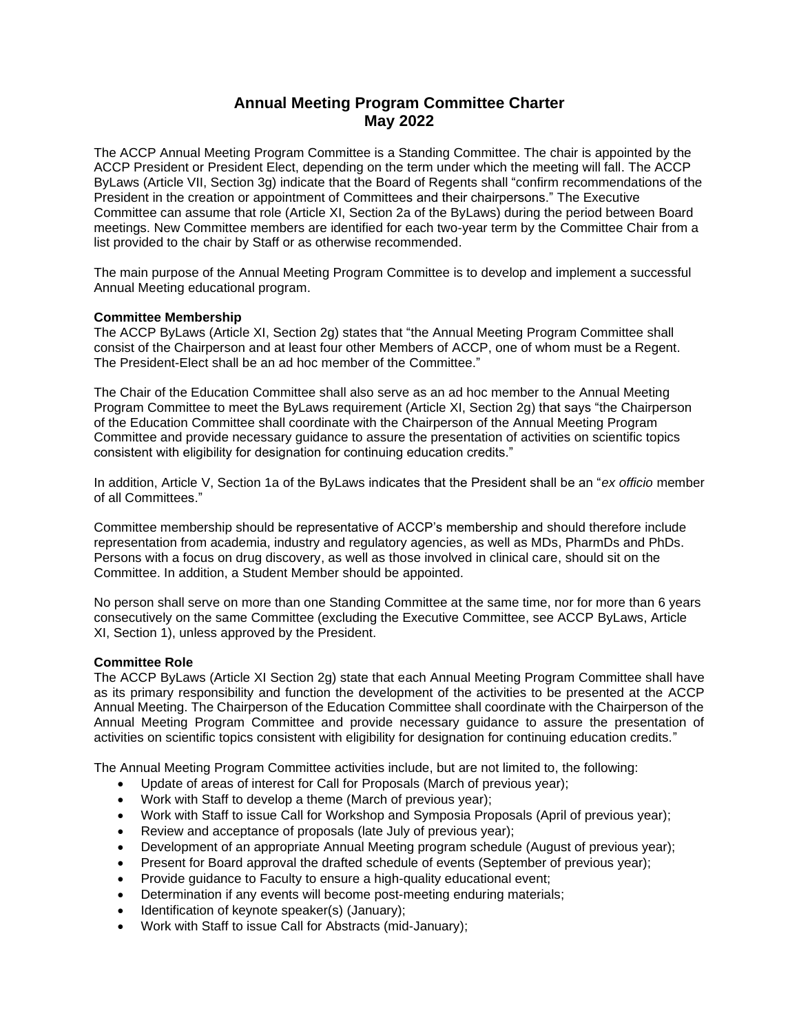# **Annual Meeting Program Committee Charter May 2022**

The ACCP Annual Meeting Program Committee is a Standing Committee. The chair is appointed by the ACCP President or President Elect, depending on the term under which the meeting will fall. The ACCP ByLaws (Article VII, Section 3g) indicate that the Board of Regents shall "confirm recommendations of the President in the creation or appointment of Committees and their chairpersons." The Executive Committee can assume that role (Article XI, Section 2a of the ByLaws) during the period between Board meetings. New Committee members are identified for each two-year term by the Committee Chair from a list provided to the chair by Staff or as otherwise recommended.

The main purpose of the Annual Meeting Program Committee is to develop and implement a successful Annual Meeting educational program.

### **Committee Membership**

The ACCP ByLaws (Article XI, Section 2g) states that "the Annual Meeting Program Committee shall consist of the Chairperson and at least four other Members of ACCP, one of whom must be a Regent. The President-Elect shall be an ad hoc member of the Committee."

The Chair of the Education Committee shall also serve as an ad hoc member to the Annual Meeting Program Committee to meet the ByLaws requirement (Article XI, Section 2g) that says "the Chairperson of the Education Committee shall coordinate with the Chairperson of the Annual Meeting Program Committee and provide necessary guidance to assure the presentation of activities on scientific topics consistent with eligibility for designation for continuing education credits."

In addition, Article V, Section 1a of the ByLaws indicates that the President shall be an "*ex officio* member of all Committees."

Committee membership should be representative of ACCP's membership and should therefore include representation from academia, industry and regulatory agencies, as well as MDs, PharmDs and PhDs. Persons with a focus on drug discovery, as well as those involved in clinical care, should sit on the Committee. In addition, a Student Member should be appointed.

No person shall serve on more than one Standing Committee at the same time, nor for more than 6 years consecutively on the same Committee (excluding the Executive Committee, see ACCP ByLaws, Article XI, Section 1), unless approved by the President.

#### **Committee Role**

The ACCP ByLaws (Article XI Section 2g) state that each Annual Meeting Program Committee shall have as its primary responsibility and function the development of the activities to be presented at the ACCP Annual Meeting. The Chairperson of the Education Committee shall coordinate with the Chairperson of the Annual Meeting Program Committee and provide necessary guidance to assure the presentation of activities on scientific topics consistent with eligibility for designation for continuing education credits."

The Annual Meeting Program Committee activities include, but are not limited to, the following:

- Update of areas of interest for Call for Proposals (March of previous year);
- Work with Staff to develop a theme (March of previous year);
- Work with Staff to issue Call for Workshop and Symposia Proposals (April of previous year);
- Review and acceptance of proposals (late July of previous year);
- Development of an appropriate Annual Meeting program schedule (August of previous year);
- Present for Board approval the drafted schedule of events (September of previous year);
- Provide guidance to Faculty to ensure a high-quality educational event;
- Determination if any events will become post-meeting enduring materials;
- Identification of keynote speaker(s) (January);
- Work with Staff to issue Call for Abstracts (mid-January);